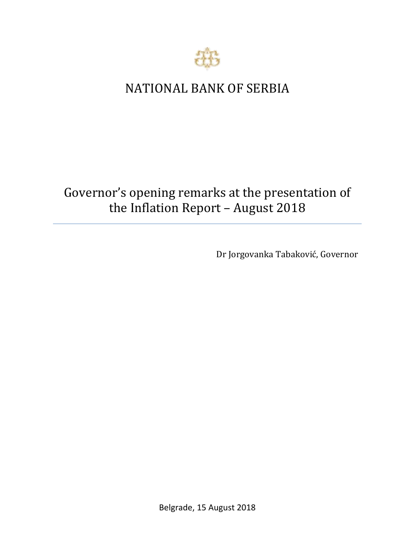

## NATIONAL BANK OF SERBIA

# Governor's opening remarks at the presentation of the Inflation Report – August 2018

Dr Jorgovanka Tabaković, Governor

Belgrade, 15 August 2018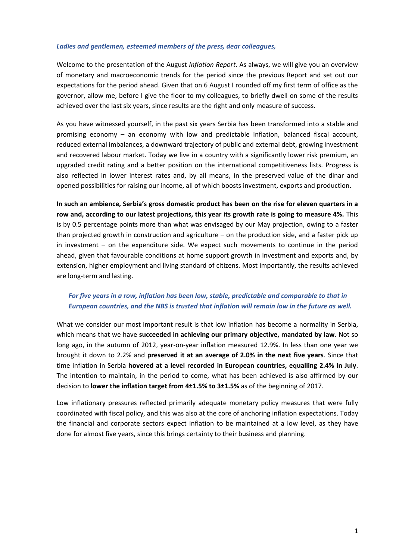#### *Ladies and gentlemen, esteemed members of the press, dear colleagues,*

Welcome to the presentation of the August *Inflation Report*. As always, we will give you an overview of monetary and macroeconomic trends for the period since the previous Report and set out our expectations for the period ahead. Given that on 6 August I rounded off my first term of office as the governor, allow me, before I give the floor to my colleagues, to briefly dwell on some of the results achieved over the last six years, since results are the right and only measure of success.

As you have witnessed yourself, in the past six years Serbia has been transformed into a stable and promising economy – an economy with low and predictable inflation, balanced fiscal account, reduced external imbalances, a downward trajectory of public and external debt, growing investment and recovered labour market. Today we live in a country with a significantly lower risk premium, an upgraded credit rating and a better position on the international competitiveness lists. Progress is also reflected in lower interest rates and, by all means, in the preserved value of the dinar and opened possibilities for raising our income, all of which boosts investment, exports and production.

**In such an ambience, Serbia's gross domestic product has been on the rise for eleven quarters in a row and, according to our latest projections, this year its growth rate is going to measure 4%.** This is by 0.5 percentage points more than what was envisaged by our May projection, owing to a faster than projected growth in construction and agriculture – on the production side, and a faster pick up in investment – on the expenditure side. We expect such movements to continue in the period ahead, given that favourable conditions at home support growth in investment and exports and, by extension, higher employment and living standard of citizens. Most importantly, the results achieved are long-term and lasting.

## *For five years in a row, inflation has been low, stable, predictable and comparable to that in European countries, and the NBS is trusted that inflation will remain low in the future as well.*

What we consider our most important result is that low inflation has become a normality in Serbia, which means that we have **succeeded in achieving our primary objective, mandated by law**. Not so long ago, in the autumn of 2012, year-on-year inflation measured 12.9%. In less than one year we brought it down to 2.2% and **preserved it at an average of 2.0% in the next five years**. Since that time inflation in Serbia **hovered at a level recorded in European countries, equalling 2.4% in July**. The intention to maintain, in the period to come, what has been achieved is also affirmed by our decision to **lower the inflation target from 4±1.5% to 3±1.5%** as of the beginning of 2017.

Low inflationary pressures reflected primarily adequate monetary policy measures that were fully coordinated with fiscal policy, and this was also at the core of anchoring inflation expectations. Today the financial and corporate sectors expect inflation to be maintained at a low level, as they have done for almost five years, since this brings certainty to their business and planning.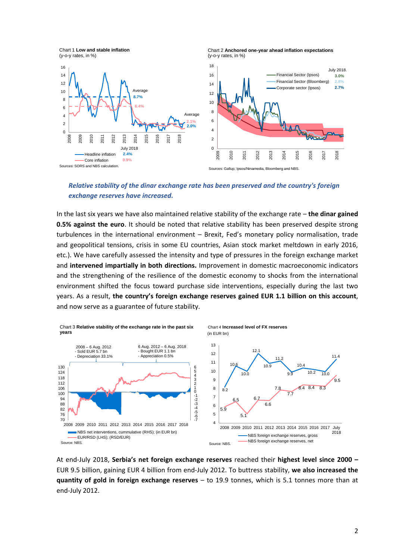Chart 1 **Low and stable inflation** (y-o-y rates, in %)





*Relative stability of the dinar exchange rate has been preserved and the country's foreign exchange reserves have increased.*

In the last six years we have also maintained relative stability of the exchange rate – **the dinar gained 0.5% against the euro**. It should be noted that relative stability has been preserved despite strong turbulences in the international environment – Brexit, Fed's monetary policy normalisation, trade and geopolitical tensions, crisis in some EU countries, Asian stock market meltdown in early 2016, etc.). We have carefully assessed the intensity and type of pressures in the foreign exchange market and **intervened impartially in both directions.** Improvement in domestic macroeconomic indicators and the strengthening of the resilience of the domestic economy to shocks from the international environment shifted the focus toward purchase side interventions, especially during the last two years. As a result, **the country's foreign exchange reserves gained EUR 1.1 billion on this account**, and now serve as a guarantee of future stability.



At end-July 2018, **Serbia's net foreign exchange reserves** reached their **highest level since 2000 –** EUR 9.5 billion, gaining EUR 4 billion from end-July 2012. To buttress stability, **we also increased the quantity of gold in foreign exchange reserves** – to 19.9 tonnes, which is 5.1 tonnes more than at end-July 2012.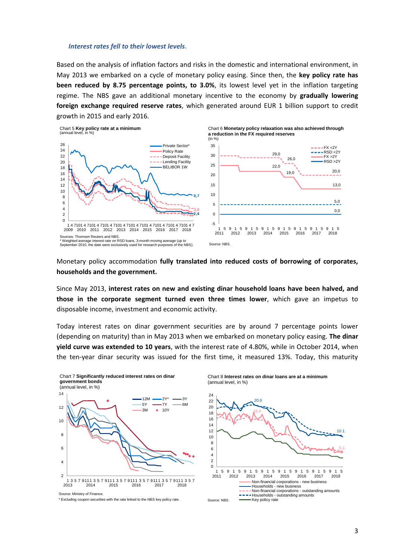#### *Interest rates fell to their lowest levels.*

Based on the analysis of inflation factors and risks in the domestic and international environment, in May 2013 we embarked on a cycle of monetary policy easing. Since then, the **key policy rate has been reduced by 8.75 percentage points, to 3.0%**, its lowest level yet in the inflation targeting regime. The NBS gave an additional monetary incentive to the economy by **gradually lowering foreign exchange required reserve rates**, which generated around EUR 1 billion support to credit growth in 2015 and early 2016.



Monetary policy accommodation **fully translated into reduced costs of borrowing of corporates, households and the government.**

Since May 2013, **interest rates on new and existing dinar household loans have been halved, and those in the corporate segment turned even three times lower**, which gave an impetus to disposable income, investment and economic activity.

Today interest rates on dinar government securities are by around 7 percentage points lower (depending on maturity) than in May 2013 when we embarked on monetary policy easing. **The dinar yield curve was extended to 10 years**, with the interest rate of 4.80%, while in October 2014, when the ten-year dinar security was issued for the first time, it measured 13%. Today, this maturity



Chart 8 **Interest rates on dinar loans are at a minimum** (annual level, in %)



Source: Ministry of Finance.

<sup>\*</sup> Excluding coupon securities with the rate linked to the NBS key policy rate.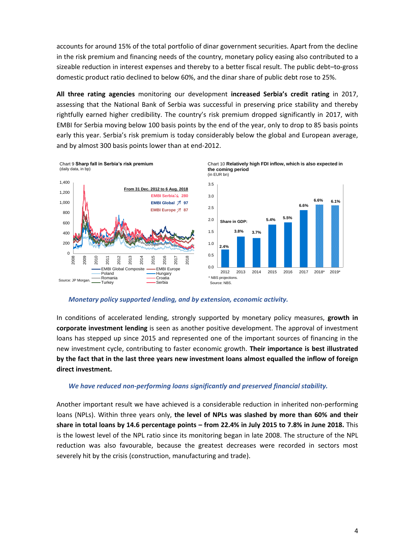accounts for around 15% of the total portfolio of dinar government securities. Apart from the decline in the risk premium and financing needs of the country, monetary policy easing also contributed to a sizeable reduction in interest expenses and thereby to a better fiscal result. The public debt–to-gross domestic product ratio declined to below 60%, and the dinar share of public debt rose to 25%.

**All three rating agencies** monitoring our development **increased Serbia's credit rating** in 2017, assessing that the National Bank of Serbia was successful in preserving price stability and thereby rightfully earned higher credibility. The country's risk premium dropped significantly in 2017, with EMBI for Serbia moving below 100 basis points by the end of the year, only to drop to 85 basis points early this year. Serbia's risk premium is today considerably below the global and European average, and by almost 300 basis points lower than at end-2012.



*Monetary policy supported lending, and by extension, economic activity.* 

In conditions of accelerated lending, strongly supported by monetary policy measures, **growth in corporate investment lending** is seen as another positive development. The approval of investment loans has stepped up since 2015 and represented one of the important sources of financing in the new investment cycle, contributing to faster economic growth. **Their importance is best illustrated by the fact that in the last three years new investment loans almost equalled the inflow of foreign direct investment.** 

#### *We have reduced non-performing loans significantly and preserved financial stability.*

Another important result we have achieved is a considerable reduction in inherited non-performing loans (NPLs). Within three years only, **the level of NPLs was slashed by more than 60% and their share in total loans by 14.6 percentage points – from 22.4% in July 2015 to 7.8% in June 2018.** This is the lowest level of the NPL ratio since its monitoring began in late 2008. The structure of the NPL reduction was also favourable, because the greatest decreases were recorded in sectors most severely hit by the crisis (construction, manufacturing and trade).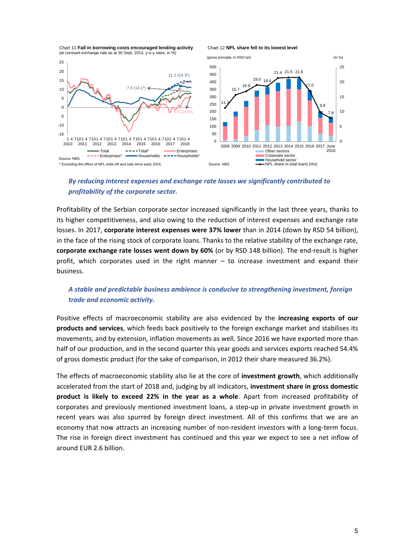Chart 11 **Fall in borrowing costs encouraged lending activity** (at constant exchange rate as at 30 Sept. 2014, y-o-y rates, in %)





## *By reducing interest expenses and exchange rate losses we significantly contributed to profitability of the corporate sector.*

Profitability of the Serbian corporate sector increased significantly in the last three years, thanks to its higher competitiveness, and also owing to the reduction of interest expenses and exchange rate losses. In 2017, **corporate interest expenses were 37% lower** than in 2014 (down by RSD 54 billion), in the face of the rising stock of corporate loans. Thanks to the relative stability of the exchange rate, **corporate exchange rate losses went down by 60%** (or by RSD 148 billion). The end-result is higher profit, which corporates used in the right manner – to increase investment and expand their business.

## *A stable and predictable business ambience is conducive to strengthening investment, foreign trade and economic activity.*

Positive effects of macroeconomic stability are also evidenced by the **increasing exports of our products and services**, which feeds back positively to the foreign exchange market and stabilises its movements, and by extension, inflation movements as well. Since 2016 we have exported more than half of our production, and in the second quarter this year goods and services exports reached 54.4% of gross domestic product (for the sake of comparison, in 2012 their share measured 36.2%).

The effects of macroeconomic stability also lie at the core of **investment growth**, which additionally accelerated from the start of 2018 and, judging by all indicators, **investment share in gross domestic product is likely to exceed 22% in the year as a whole**. Apart from increased profitability of corporates and previously mentioned investment loans, a step-up in private investment growth in recent years was also spurred by foreign direct investment. All of this confirms that we are an economy that now attracts an increasing number of non-resident investors with a long-term focus. The rise in foreign direct investment has continued and this year we expect to see a net inflow of around EUR 2.6 billion.